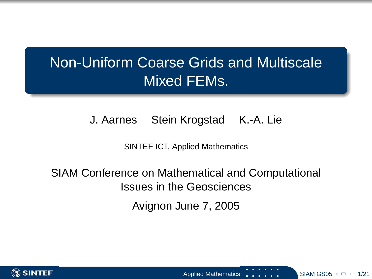## Non-Uniform Coarse Grids and Multiscale Mixed FEMs.

#### J. Aarnes Stein Krogstad K.-A. Lie

SINTEF ICT, Applied Mathematics

## SIAM Conference on Mathematical and Computational Issues in the Geosciences

Avignon June 7, 2005



<span id="page-0-0"></span>Applied Mathematics SINGS 1, 2014 11:30 SIAM GS0[5](#page-0-0) 1:30 121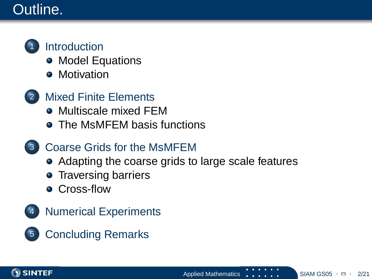## Outline.



### **[Introduction](#page-2-0)**

- [Model Equations](#page-2-0)
- **•** [Motivation](#page-3-0)
- **[Mixed Finite Elements](#page-4-0)** 
	- [Multiscale mixed FEM](#page-4-0)
	- **The MsMFFM basis functions**
- 3 [Coarse Grids for the MsMFEM](#page-10-0)
	- [Adapting the coarse grids to large scale features](#page-11-0)
	- **[Traversing barriers](#page-12-0)**
	- **[Cross-flow](#page-14-0)**
- **[Numerical Experiments](#page-15-0)**
- 5 [Concluding Remarks](#page-20-0)



<span id="page-1-0"></span>Applied Mathematics **SIM SIAM GS0[5](#page-0-0)**  $\Box$  2/21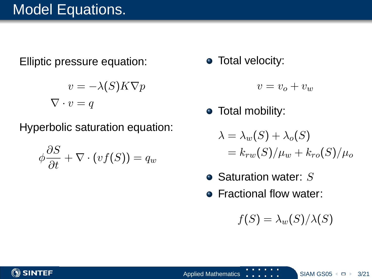## Model Equations.

Elliptic pressure equation:

$$
v = -\lambda(S)K\nabla p
$$

$$
\nabla \cdot v = q
$$

Hyperbolic saturation equation:

$$
\phi \frac{\partial S}{\partial t} + \nabla \cdot (vf(S)) = q_w
$$

• Total velocity:

$$
v=v_o+v_w
$$

• Total mobility:

$$
\lambda = \lambda_w(S) + \lambda_o(S)
$$
  
=  $k_{rw}(S)/\mu_w + k_{ro}(S)/\mu_o$ 

- $\bullet$  Saturation water: S
- **Fractional flow water:**

<span id="page-2-0"></span> $f(S) = \lambda_w(S)/\lambda(S)$ 

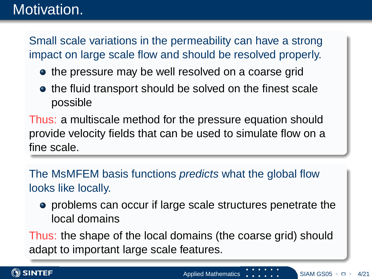## Motivation.

Small scale variations in the permeability can have a strong impact on large scale flow and should be resolved properly.

- the pressure may be well resolved on a coarse grid
- the fluid transport should be solved on the finest scale possible

Thus: a multiscale method for the pressure equation should provide velocity fields that can be used to simulate flow on a fine scale.

The MsMFEM basis functions *predicts* what the global flow looks like locally.

<span id="page-3-0"></span>problems can occur if large scale structures penetrate the local domains

Thus: the shape of the local domains (the coarse grid) should adapt to important large scale features.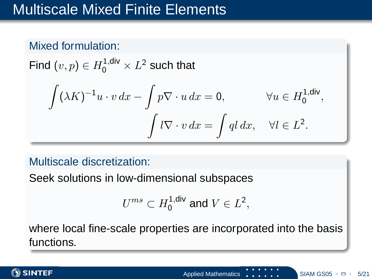## Multiscale Mixed Finite Elements

#### Mixed formulation:

Find  $(v, p) \in H_0^{1, \mathsf{div}} \times L^2$  such that

$$
\int (\lambda K)^{-1}u \cdot v \, dx - \int p \nabla \cdot u \, dx = 0, \qquad \forall u \in H_0^{1, \text{div}},
$$

$$
\int l \nabla \cdot v \, dx = \int q l \, dx, \quad \forall l \in L^2.
$$

#### Multiscale discretization:

Seek solutions in low-dimensional subspaces

<span id="page-4-0"></span>
$$
U^{ms}\subset H^{1,\text{div}}_0\text{ and }V\in L^2,
$$

where local fine-scale properties are incorporated into the basis functions.

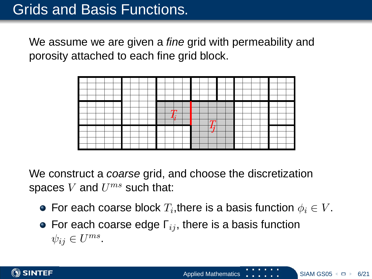We assume we are given a *fine* grid with permeability and porosity attached to each fine grid block.



We construct a *coarse* grid, and choose the discretization spaces  $V$  and  $U^{ms}$  such that:

- For each coarse block  $T_i,$ there is a basis function  $\phi_i \in V.$
- <span id="page-5-0"></span>• For each coarse edge  $\Gamma_{ij}$ , there is a basis function  $\psi_{ij} \in U^{ms}$ .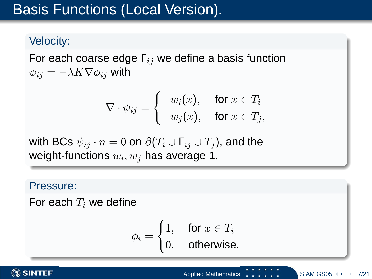## Basis Functions (Local Version).

#### Velocity:

For each coarse edge  $\Gamma_{ij}$  we define a basis function  $\psi_{ij} = -\lambda K \nabla \phi_{ij}$  with

$$
\nabla \cdot \psi_{ij} = \begin{cases} w_i(x), & \text{for } x \in T_i \\ -w_j(x), & \text{for } x \in T_j, \end{cases}
$$

with BCs  $\psi_{ij} \cdot n = 0$  on  $\partial (T_i \cup \Gamma_{ij} \cup T_j)$ , and the weight-functions  $w_i, w_j$  has average 1.

#### Pressure:

For each  $T_i$  we define

<span id="page-6-0"></span>
$$
\phi_i = \begin{cases} 1, & \text{for } x \in T_i \\ 0, & \text{otherwise.} \end{cases}
$$

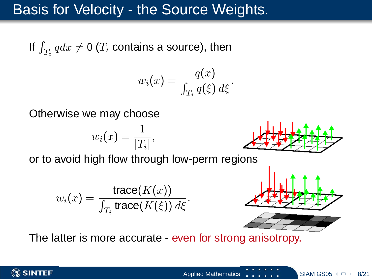## Basis for Velocity - the Source Weights.

If  $\int_{T_i} q dx \neq 0$   $(T_i$  contains a source), then

$$
w_i(x) = \frac{q(x)}{\int_{T_i} q(\xi) \, d\xi}.
$$

Otherwise we may choose

$$
w_i(x) = \frac{1}{|T_i|},
$$

or to avoid high flow through low-perm regions

$$
w_i(x) = \frac{\operatorname{trace}(K(x))}{\int_{T_i} \operatorname{trace}(K(\xi)) d\xi}.
$$



<span id="page-7-0"></span>

The latter is more accurate - even for strong anisotropy.

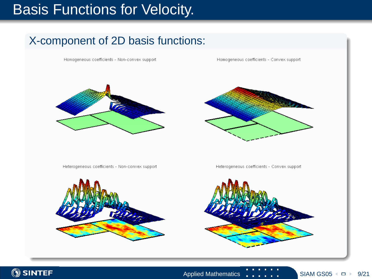## Basis Functions for Velocity.

### X-component of 2D basis functions:

Homogeneous coefficients - Non-convex support

Homogeneous coefficients - Convex support





Heterogeneous coefficients - Non-convex support



<span id="page-8-0"></span>Heterogeneous coefficients - Convex support



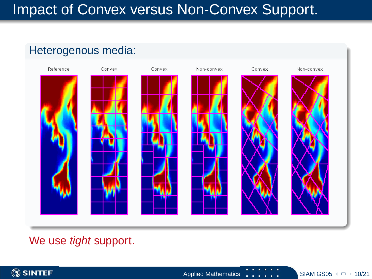## Impact of Convex versus Non-Convex Support.

# Heterogenous media: Reference Convex Convex Convex Non-convex Non-convex

<span id="page-9-0"></span>We use *tight* support.

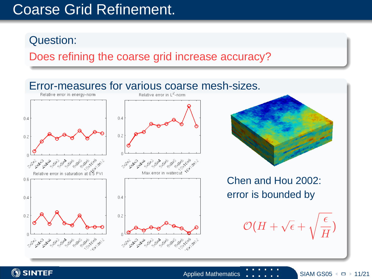## Coarse Grid Refinement.

#### Question:

Does refining the coarse grid increase accuracy?



**SINTEF** 

<span id="page-10-0"></span>Applied Mathematics  $\begin{bmatrix} 1 & 1 \\ 1 & 1 \end{bmatrix}$  $\begin{bmatrix} 1 & 1 \\ 1 & 1 \end{bmatrix}$  $\begin{bmatrix} 1 & 1 \\ 1 & 1 \end{bmatrix}$  SIAM GS0[5](#page-9-0)  $\cdot$   $\Box$  11/21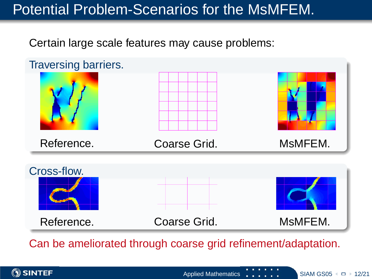## Potential Problem-Scenarios for the MsMFEM.

Certain large scale features may cause problems:



Can be ameliorated through coarse grid refinement/adaptation.



<span id="page-11-0"></span>Applied Mathematics SINGS [1](#page-12-0)2/21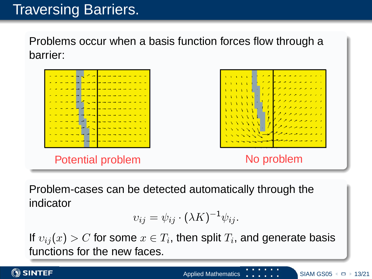## Traversing Barriers.

Problems occur when a basis function forces flow through a barrier:



Problem-cases can be detected automatically through the indicator

<span id="page-12-0"></span>
$$
v_{ij} = \psi_{ij} \cdot (\lambda K)^{-1} \psi_{ij}.
$$

If  $v_{ij}(x) > C$  for some  $x \in T_i,$  then split  $T_i,$  and generate basis functions for the new faces.

**SINTEF**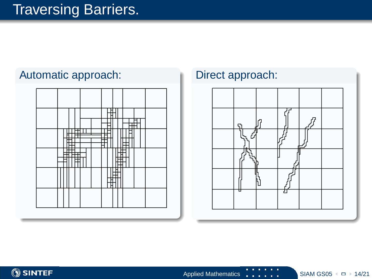## Traversing Barriers.

#### Automatic approach: Direct approach:



<span id="page-13-0"></span>

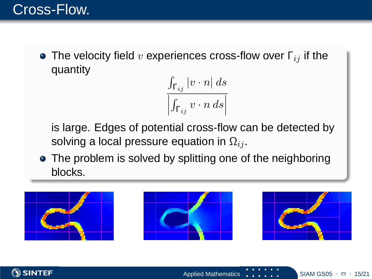**•** The velocity field v experiences cross-flow over  $\Gamma_{ij}$  if the quantity

> <span id="page-14-0"></span> $\int_{\mathsf{\Gamma}_{ij}}|v\cdot n|\,ds$  $\begin{array}{c} \begin{array}{c} \begin{array}{c} \end{array}\\ \begin{array}{c} \end{array} \end{array} \end{array}$  $\int_{\mathsf{\Gamma}_{ij}} v \cdot n \, ds$

is large. Edges of potential cross-flow can be detected by solving a local pressure equation in  $\Omega_{ij}$ .

• The problem is solved by splitting one of the neighboring blocks.



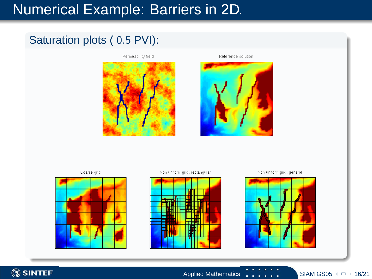## Numerical Example: Barriers in 2D.

#### Saturation plots ( 0.5 PVI):

Permeability field



#### Reference solution



Coarse orid



Non uniform orid, rectanoular



<span id="page-15-0"></span>Non uniform grid, general





Applied Mathematics  $\begin{array}{|c|c|c|c|c|c|}\n\hline\n\text{SIAM GSO5} & \text{ }\end{array}$  $\begin{array}{|c|c|c|c|c|c|}\n\hline\n\text{SIAM GSO5} & \text{ }\end{array}$  $\begin{array}{|c|c|c|c|c|c|}\n\hline\n\text{SIAM GSO5} & \text{ }\end{array}$  + [1](#page-16-0)6/21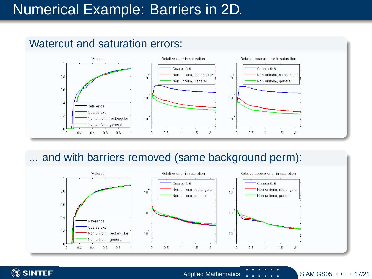## Numerical Example: Barriers in 2D.



#### Watercut and saturation errors:

#### ... and with barriers removed (same background perm):





<span id="page-16-0"></span>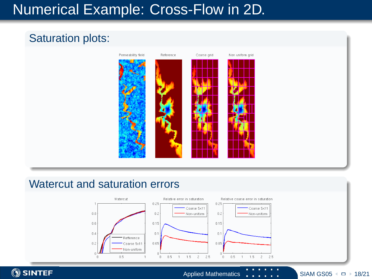## Numerical Example: Cross-Flow in 2D.

### Saturation plots:

**SINTEF** 



#### Watercut and saturation errors



<span id="page-17-0"></span>Applied Mathematics  $\begin{array}{|c|c|c|c|c|c|}\n\hline\n\text{SIAM GSO5} & \text{ }\blacksquare \rightarrow \text{18/21}\n\hline\n\end{array}$  $\begin{array}{|c|c|c|c|c|c|}\n\hline\n\text{SIAM GSO5} & \text{ }\blacksquare \rightarrow \text{18/21}\n\hline\n\end{array}$  $\begin{array}{|c|c|c|c|c|c|}\n\hline\n\text{SIAM GSO5} & \text{ }\blacksquare \rightarrow \text{18/21}\n\hline\n\end{array}$  $\begin{array}{|c|c|c|c|c|c|}\n\hline\n\text{SIAM GSO5} & \text{ }\blacksquare \rightarrow \text{18/21}\n\hline\n\end{array}$  $\begin{array}{|c|c|c|c|c|c|}\n\hline\n\text{SIAM GSO5} & \text{ }\blacksquare \rightarrow \text{18/21}\n\hline\n\end{array}$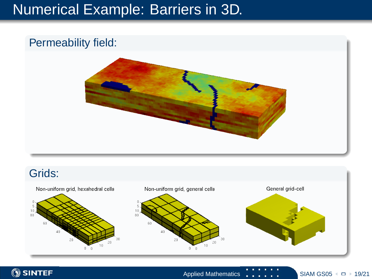## Numerical Example: Barriers in 3D.

#### Permeability field:



#### Grids:

<span id="page-18-0"></span>

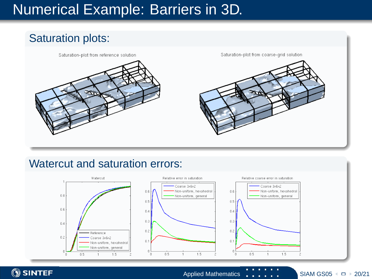## Numerical Example: Barriers in 3D.

# Saturation plots: Saturation-plot from reference solution Saturation-plot from coarse-grid solution

#### Watercut and saturation errors:

**SINTEF** 



<span id="page-19-0"></span>Applied Mathematics  $\begin{bmatrix} 1 & 1 \\ 1 & 1 \end{bmatrix}$  SIAM GS0[5](#page-18-0)  $\leftarrow$   $\Box$  [2](#page-20-0)0/21